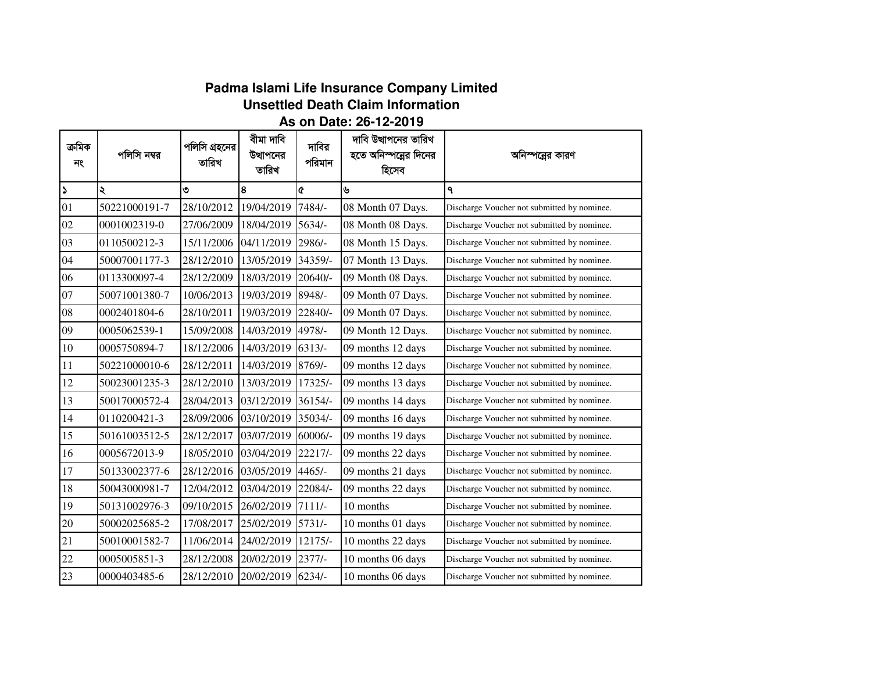## **Padma Islami Life Insurance Company LimitedUnsettled Death Claim Information**

## **As on Date: 26-12-2019**

| ক্ৰমিক<br>নং          | পলিসি নম্বর   | পলিসি গ্রহনের<br>তারিখ | বীমা দাবি<br>উত্থাপনের<br>তারিখ | দাবির<br>পরিমান | দাবি উত্থাপনের তারিখ<br>হতে অনিস্পন্নের দিনের<br>হিসেব | আনস্পরের কারণ                               |
|-----------------------|---------------|------------------------|---------------------------------|-----------------|--------------------------------------------------------|---------------------------------------------|
| $\blacktriangleright$ | ২             | ৩                      | 8                               | Q               | ৬                                                      | ٩                                           |
| 01                    | 50221000191-7 | 28/10/2012             | 19/04/2019                      | 7484/-          | 08 Month 07 Days.                                      | Discharge Voucher not submitted by nominee. |
| 02                    | 0001002319-0  | 27/06/2009             | 18/04/2019                      | $5634/-$        | 08 Month 08 Days.                                      | Discharge Voucher not submitted by nominee. |
| 03                    | 0110500212-3  | 15/11/2006             | 04/11/2019                      | 2986/-          | 08 Month 15 Days.                                      | Discharge Voucher not submitted by nominee. |
| 04                    | 50007001177-3 | 28/12/2010             | 13/05/2019                      | 34359/-         | 07 Month 13 Days.                                      | Discharge Voucher not submitted by nominee. |
| 06                    | 0113300097-4  | 28/12/2009             | 18/03/2019                      | 20640/-         | 09 Month 08 Days.                                      | Discharge Voucher not submitted by nominee. |
| 07                    | 50071001380-7 | 10/06/2013             | 19/03/2019                      | 8948/-          | 09 Month 07 Days.                                      | Discharge Voucher not submitted by nominee. |
| 08                    | 0002401804-6  | 28/10/2011             | 19/03/2019                      | 22840/-         | 09 Month 07 Days.                                      | Discharge Voucher not submitted by nominee. |
| 09                    | 0005062539-1  | 15/09/2008             | 14/03/2019                      | 4978/-          | 09 Month 12 Days.                                      | Discharge Voucher not submitted by nominee. |
| 10                    | 0005750894-7  | 18/12/2006             | 14/03/2019 6313/-               |                 | 09 months 12 days                                      | Discharge Voucher not submitted by nominee. |
| 11                    | 50221000010-6 | 28/12/2011             | 14/03/2019                      | 8769/-          | 09 months 12 days                                      | Discharge Voucher not submitted by nominee. |
| 12                    | 50023001235-3 | 28/12/2010             | 13/03/2019                      | 17325/-         | 09 months 13 days                                      | Discharge Voucher not submitted by nominee. |
| 13                    | 50017000572-4 | 28/04/2013             | 03/12/2019                      | 36154/-         | 09 months 14 days                                      | Discharge Voucher not submitted by nominee. |
| 14                    | 0110200421-3  | 28/09/2006             | 03/10/2019                      | 35034/-         | 09 months 16 days                                      | Discharge Voucher not submitted by nominee. |
| 15                    | 50161003512-5 | 28/12/2017             | 03/07/2019                      | 60006/-         | 09 months 19 days                                      | Discharge Voucher not submitted by nominee. |
| 16                    | 0005672013-9  | 18/05/2010             | 03/04/2019                      | $22217/-$       | 09 months 22 days                                      | Discharge Voucher not submitted by nominee. |
| 17                    | 50133002377-6 | 28/12/2016             | 03/05/2019                      | $4465/-$        | 09 months 21 days                                      | Discharge Voucher not submitted by nominee. |
| 18                    | 50043000981-7 | 12/04/2012             | 03/04/2019                      | 22084/-         | 09 months 22 days                                      | Discharge Voucher not submitted by nominee. |
| 19                    | 50131002976-3 | 09/10/2015             | 26/02/2019                      | $7111/-$        | 10 months                                              | Discharge Voucher not submitted by nominee. |
| 20                    | 50002025685-2 | 17/08/2017             | 25/02/2019                      | $5731/-$        | 10 months 01 days                                      | Discharge Voucher not submitted by nominee. |
| 21                    | 50010001582-7 | 11/06/2014             | 24/02/2019                      | 12175/-         | 10 months 22 days                                      | Discharge Voucher not submitted by nominee. |
| 22                    | 0005005851-3  | 28/12/2008             | 20/02/2019                      | $2377/-$        | 10 months 06 days                                      | Discharge Voucher not submitted by nominee. |
| 23                    | 0000403485-6  | 28/12/2010             | 20/02/2019                      | $6234/-$        | 10 months 06 days                                      | Discharge Voucher not submitted by nominee. |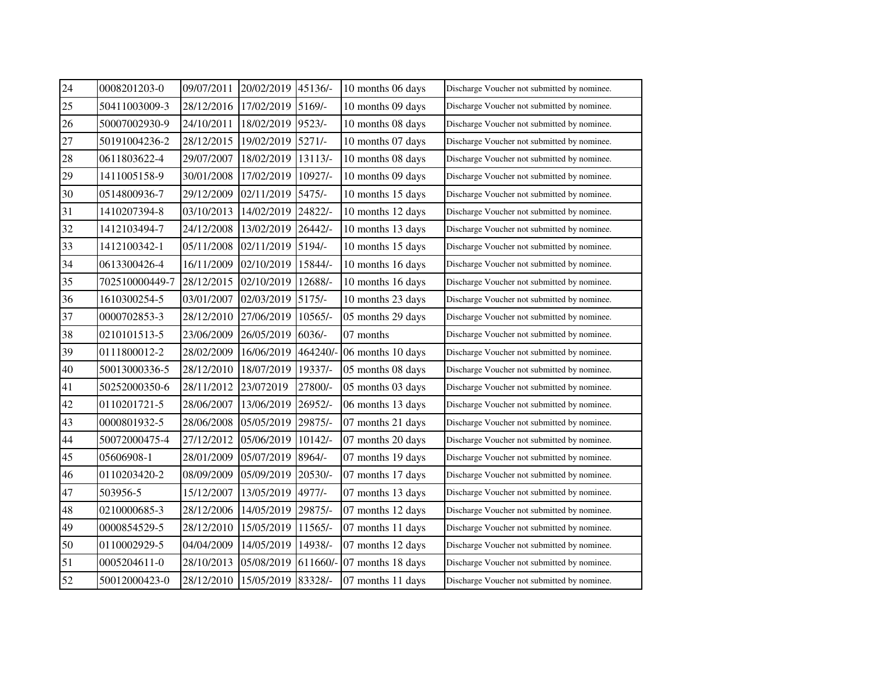| 24 | 0008201203-0   | 09/07/2011 | 20/02/2019 | 45136/-   | 10 months 06 days | Discharge Voucher not submitted by nominee. |
|----|----------------|------------|------------|-----------|-------------------|---------------------------------------------|
| 25 | 50411003009-3  | 28/12/2016 | 17/02/2019 | 5169/-    | 10 months 09 days | Discharge Voucher not submitted by nominee. |
| 26 | 50007002930-9  | 24/10/2011 | 18/02/2019 | $9523/-$  | 10 months 08 days | Discharge Voucher not submitted by nominee. |
| 27 | 50191004236-2  | 28/12/2015 | 19/02/2019 | $5271/-$  | 10 months 07 days | Discharge Voucher not submitted by nominee. |
| 28 | 0611803622-4   | 29/07/2007 | 18/02/2019 | 13113/-   | 10 months 08 days | Discharge Voucher not submitted by nominee. |
| 29 | 1411005158-9   | 30/01/2008 | 17/02/2019 | 10927/-   | 10 months 09 days | Discharge Voucher not submitted by nominee. |
| 30 | 0514800936-7   | 29/12/2009 | 02/11/2019 | 5475/-    | 10 months 15 days | Discharge Voucher not submitted by nominee. |
| 31 | 1410207394-8   | 03/10/2013 | 14/02/2019 | 24822/-   | 10 months 12 days | Discharge Voucher not submitted by nominee. |
| 32 | 1412103494-7   | 24/12/2008 | 13/02/2019 | 26442/-   | 10 months 13 days | Discharge Voucher not submitted by nominee. |
| 33 | 1412100342-1   | 05/11/2008 | 02/11/2019 | 5194/-    | 10 months 15 days | Discharge Voucher not submitted by nominee. |
| 34 | 0613300426-4   | 16/11/2009 | 02/10/2019 | 15844/-   | 10 months 16 days | Discharge Voucher not submitted by nominee. |
| 35 | 702510000449-7 | 28/12/2015 | 02/10/2019 | 12688/-   | 10 months 16 days | Discharge Voucher not submitted by nominee. |
| 36 | 1610300254-5   | 03/01/2007 | 02/03/2019 | $5175/-$  | 10 months 23 days | Discharge Voucher not submitted by nominee. |
| 37 | 0000702853-3   | 28/12/2010 | 27/06/2019 | $10565/-$ | 05 months 29 days | Discharge Voucher not submitted by nominee. |
| 38 | 0210101513-5   | 23/06/2009 | 26/05/2019 | $6036/-$  | 07 months         | Discharge Voucher not submitted by nominee. |
| 39 | 0111800012-2   | 28/02/2009 | 16/06/2019 | 464240/-  | 06 months 10 days | Discharge Voucher not submitted by nominee. |
| 40 | 50013000336-5  | 28/12/2010 | 18/07/2019 | 19337/-   | 05 months 08 days | Discharge Voucher not submitted by nominee. |
| 41 | 50252000350-6  | 28/11/2012 | 23/072019  | 27800/-   | 05 months 03 days | Discharge Voucher not submitted by nominee. |
| 42 | 0110201721-5   | 28/06/2007 | 13/06/2019 | 26952/-   | 06 months 13 days | Discharge Voucher not submitted by nominee. |
| 43 | 0000801932-5   | 28/06/2008 | 05/05/2019 | 29875/-   | 07 months 21 days | Discharge Voucher not submitted by nominee. |
| 44 | 50072000475-4  | 27/12/2012 | 05/06/2019 | 10142/-   | 07 months 20 days | Discharge Voucher not submitted by nominee. |
| 45 | 05606908-1     | 28/01/2009 | 05/07/2019 | 8964/-    | 07 months 19 days | Discharge Voucher not submitted by nominee. |
| 46 | 0110203420-2   | 08/09/2009 | 05/09/2019 | 20530/-   | 07 months 17 days | Discharge Voucher not submitted by nominee. |
| 47 | 503956-5       | 15/12/2007 | 13/05/2019 | 4977/-    | 07 months 13 days | Discharge Voucher not submitted by nominee. |
| 48 | 0210000685-3   | 28/12/2006 | 14/05/2019 | 29875/-   | 07 months 12 days | Discharge Voucher not submitted by nominee. |
| 49 | 0000854529-5   | 28/12/2010 | 15/05/2019 | 11565/-   | 07 months 11 days | Discharge Voucher not submitted by nominee. |
| 50 | 0110002929-5   | 04/04/2009 | 14/05/2019 | 14938/-   | 07 months 12 days | Discharge Voucher not submitted by nominee. |
| 51 | 0005204611-0   | 28/10/2013 | 05/08/2019 | 611660/-  | 07 months 18 days | Discharge Voucher not submitted by nominee. |
| 52 | 50012000423-0  | 28/12/2010 | 15/05/2019 | 83328/-   | 07 months 11 days | Discharge Voucher not submitted by nominee. |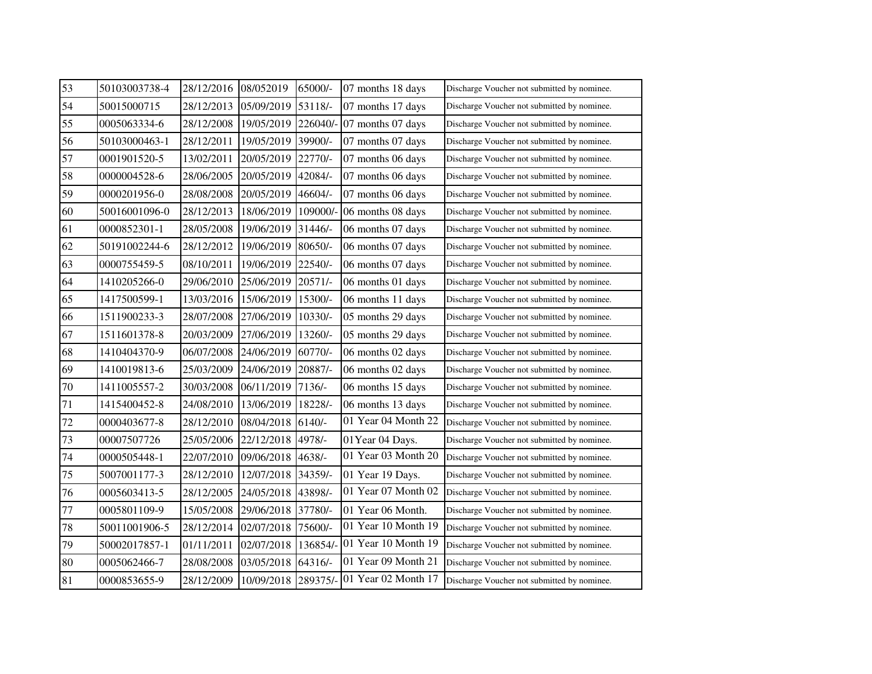| 53 | 50103003738-4 | 28/12/2016 | 08/052019  | 65000/-   | 07 months 18 days          | Discharge Voucher not submitted by nominee. |
|----|---------------|------------|------------|-----------|----------------------------|---------------------------------------------|
| 54 | 50015000715   | 28/12/2013 | 05/09/2019 | 53118/-   | 07 months 17 days          | Discharge Voucher not submitted by nominee. |
| 55 | 0005063334-6  | 28/12/2008 | 19/05/2019 |           | 226040/- 07 months 07 days | Discharge Voucher not submitted by nominee. |
| 56 | 50103000463-1 | 28/12/2011 | 19/05/2019 | 39900/-   | 07 months 07 days          | Discharge Voucher not submitted by nominee. |
| 57 | 0001901520-5  | 13/02/2011 | 20/05/2019 | 22770/-   | 07 months 06 days          | Discharge Voucher not submitted by nominee. |
| 58 | 0000004528-6  | 28/06/2005 | 20/05/2019 | 42084/-   | 07 months 06 days          | Discharge Voucher not submitted by nominee. |
| 59 | 0000201956-0  | 28/08/2008 | 20/05/2019 | 46604/-   | 07 months 06 days          | Discharge Voucher not submitted by nominee. |
| 60 | 50016001096-0 | 28/12/2013 | 18/06/2019 | 109000/-  | 06 months 08 days          | Discharge Voucher not submitted by nominee. |
| 61 | 0000852301-1  | 28/05/2008 | 19/06/2019 | $31446/-$ | 06 months 07 days          | Discharge Voucher not submitted by nominee. |
| 62 | 50191002244-6 | 28/12/2012 | 19/06/2019 | 80650/-   | 06 months 07 days          | Discharge Voucher not submitted by nominee. |
| 63 | 0000755459-5  | 08/10/2011 | 19/06/2019 | 22540/-   | 06 months 07 days          | Discharge Voucher not submitted by nominee. |
| 64 | 1410205266-0  | 29/06/2010 | 25/06/2019 | $20571/-$ | 06 months 01 days          | Discharge Voucher not submitted by nominee. |
| 65 | 1417500599-1  | 13/03/2016 | 15/06/2019 | 15300/-   | 06 months 11 days          | Discharge Voucher not submitted by nominee. |
| 66 | 1511900233-3  | 28/07/2008 | 27/06/2019 | 10330/-   | 05 months 29 days          | Discharge Voucher not submitted by nominee. |
| 67 | 1511601378-8  | 20/03/2009 | 27/06/2019 | 13260/-   | 05 months 29 days          | Discharge Voucher not submitted by nominee. |
| 68 | 1410404370-9  | 06/07/2008 | 24/06/2019 | 60770/-   | 06 months 02 days          | Discharge Voucher not submitted by nominee. |
| 69 | 1410019813-6  | 25/03/2009 | 24/06/2019 | 20887/-   | 06 months 02 days          | Discharge Voucher not submitted by nominee. |
| 70 | 1411005557-2  | 30/03/2008 | 06/11/2019 | $7136/-$  | 06 months 15 days          | Discharge Voucher not submitted by nominee. |
| 71 | 1415400452-8  | 24/08/2010 | 13/06/2019 | 18228/-   | 06 months 13 days          | Discharge Voucher not submitted by nominee. |
| 72 | 0000403677-8  | 28/12/2010 | 08/04/2018 | $6140/-$  | 01 Year 04 Month 22        | Discharge Voucher not submitted by nominee. |
| 73 | 00007507726   | 25/05/2006 | 22/12/2018 | 4978/-    | 01Year 04 Days.            | Discharge Voucher not submitted by nominee. |
| 74 | 0000505448-1  | 22/07/2010 | 09/06/2018 | 4638/-    | 01 Year 03 Month 20        | Discharge Voucher not submitted by nominee. |
| 75 | 5007001177-3  | 28/12/2010 | 12/07/2018 | 34359/-   | 01 Year 19 Days.           | Discharge Voucher not submitted by nominee. |
| 76 | 0005603413-5  | 28/12/2005 | 24/05/2018 | 43898/-   | 01 Year 07 Month 02        | Discharge Voucher not submitted by nominee. |
| 77 | 0005801109-9  | 15/05/2008 | 29/06/2018 | 37780/-   | 01 Year 06 Month.          | Discharge Voucher not submitted by nominee. |
| 78 | 50011001906-5 | 28/12/2014 | 02/07/2018 | 75600/-   | 01 Year 10 Month 19        | Discharge Voucher not submitted by nominee. |
| 79 | 50002017857-1 | 01/11/2011 | 02/07/2018 | 136854/-  | 01 Year 10 Month 19        | Discharge Voucher not submitted by nominee. |
| 80 | 0005062466-7  | 28/08/2008 | 03/05/2018 | 64316/-   | 01 Year 09 Month 21        | Discharge Voucher not submitted by nominee. |
| 81 | 0000853655-9  | 28/12/2009 | 10/09/2018 | 289375/-  | 01 Year 02 Month 17        | Discharge Voucher not submitted by nominee. |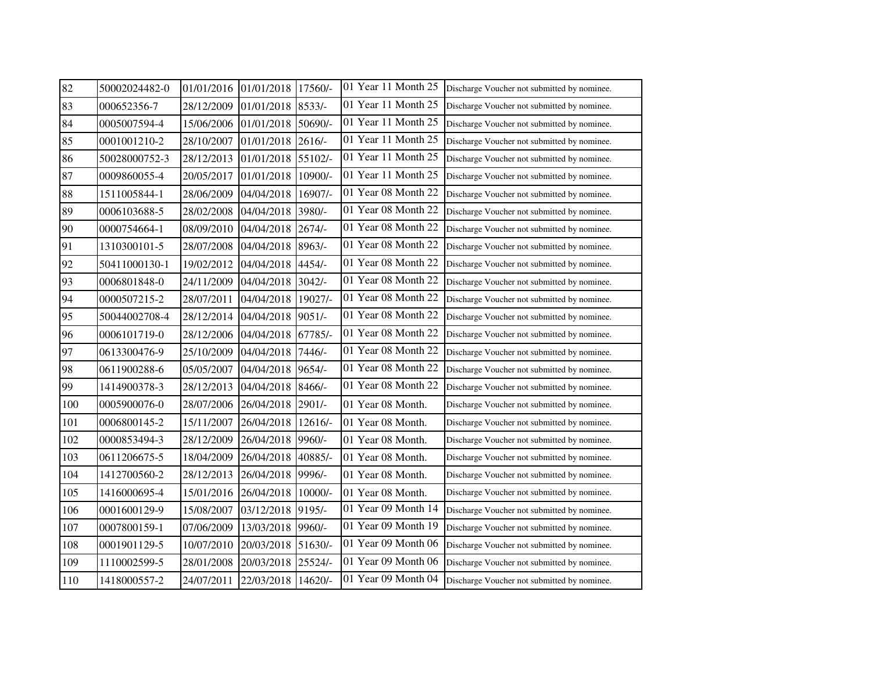| 82  | 50002024482-0 | 01/01/2016 01/01/2018 |                       | 17560/-  | 01 Year 11 Month 25 | Discharge Voucher not submitted by nominee. |
|-----|---------------|-----------------------|-----------------------|----------|---------------------|---------------------------------------------|
| 83  | 000652356-7   | 28/12/2009            | 01/01/2018            | $8533/-$ | 01 Year 11 Month 25 | Discharge Voucher not submitted by nominee. |
| 84  | 0005007594-4  |                       | 15/06/2006 01/01/2018 | 50690/-  | 01 Year 11 Month 25 | Discharge Voucher not submitted by nominee. |
| 85  | 0001001210-2  | 28/10/2007            | 01/01/2018            | 2616/    | 01 Year 11 Month 25 | Discharge Voucher not submitted by nominee. |
| 86  | 50028000752-3 | 28/12/2013            | 01/01/2018            | 55102/-  | 01 Year 11 Month 25 | Discharge Voucher not submitted by nominee. |
| 87  | 0009860055-4  | 20/05/2017            | 01/01/2018            | 10900/-  | 01 Year 11 Month 25 | Discharge Voucher not submitted by nominee. |
| 88  | 1511005844-1  | 28/06/2009            | 04/04/2018            | 16907/-  | 01 Year 08 Month 22 | Discharge Voucher not submitted by nominee. |
| 89  | 0006103688-5  | 28/02/2008            | 04/04/2018            | 3980/-   | 01 Year 08 Month 22 | Discharge Voucher not submitted by nominee. |
| 90  | 0000754664-1  | 08/09/2010            | 04/04/2018            | 2674/    | 01 Year 08 Month 22 | Discharge Voucher not submitted by nominee. |
| 91  | 1310300101-5  | 28/07/2008            | 04/04/2018            | $8963/-$ | 01 Year 08 Month 22 | Discharge Voucher not submitted by nominee. |
| 92  | 50411000130-1 | 19/02/2012            | 04/04/2018            | 4454/-   | 01 Year 08 Month 22 | Discharge Voucher not submitted by nominee. |
| 93  | 0006801848-0  | 24/11/2009            | 04/04/2018            | $3042/-$ | 01 Year 08 Month 22 | Discharge Voucher not submitted by nominee. |
| 94  | 0000507215-2  | 28/07/2011            | 04/04/2018            | 19027/-  | 01 Year 08 Month 22 | Discharge Voucher not submitted by nominee. |
| 95  | 50044002708-4 | 28/12/2014 04/04/2018 |                       | $9051/-$ | 01 Year 08 Month 22 | Discharge Voucher not submitted by nominee. |
| 96  | 0006101719-0  |                       | 28/12/2006 04/04/2018 | 67785/-  | 01 Year 08 Month 22 | Discharge Voucher not submitted by nominee. |
| 97  | 0613300476-9  | 25/10/2009            | 04/04/2018            | 7446/-   | 01 Year 08 Month 22 | Discharge Voucher not submitted by nominee. |
| 98  | 0611900288-6  | 05/05/2007            | 04/04/2018            | $9654/-$ | 01 Year 08 Month 22 | Discharge Voucher not submitted by nominee. |
| 99  | 1414900378-3  | 28/12/2013            | 04/04/2018            | 8466/-   | 01 Year 08 Month 22 | Discharge Voucher not submitted by nominee. |
| 100 | 0005900076-0  | 28/07/2006            | 26/04/2018            | 2901/-   | 01 Year 08 Month.   | Discharge Voucher not submitted by nominee. |
| 101 | 0006800145-2  | 15/11/2007            | 26/04/2018            | 12616/-  | 01 Year 08 Month.   | Discharge Voucher not submitted by nominee. |
| 102 | 0000853494-3  | 28/12/2009            | 26/04/2018            | 9960/-   | 01 Year 08 Month.   | Discharge Voucher not submitted by nominee. |
| 103 | 0611206675-5  | 18/04/2009            | 26/04/2018            | 40885/-  | 01 Year 08 Month.   | Discharge Voucher not submitted by nominee. |
| 104 | 1412700560-2  | 28/12/2013            | 26/04/2018            | 9996/-   | 01 Year 08 Month.   | Discharge Voucher not submitted by nominee. |
| 105 | 1416000695-4  | 15/01/2016            | 26/04/2018            | 10000/-  | 01 Year 08 Month.   | Discharge Voucher not submitted by nominee. |
| 106 | 0001600129-9  | 15/08/2007            | 03/12/2018            | 9195/-   | 01 Year 09 Month 14 | Discharge Voucher not submitted by nominee. |
| 107 | 0007800159-1  | 07/06/2009            | 13/03/2018            | 9960/-   | 01 Year 09 Month 19 | Discharge Voucher not submitted by nominee. |
| 108 | 0001901129-5  | 10/07/2010            | 20/03/2018            | 51630/-  | 01 Year 09 Month 06 | Discharge Voucher not submitted by nominee. |
| 109 | 1110002599-5  | 28/01/2008            | 20/03/2018            | 25524/-  | 01 Year 09 Month 06 | Discharge Voucher not submitted by nominee. |
| 110 | 1418000557-2  | 24/07/2011            | 22/03/2018            | 14620/-  | 01 Year 09 Month 04 | Discharge Voucher not submitted by nominee. |